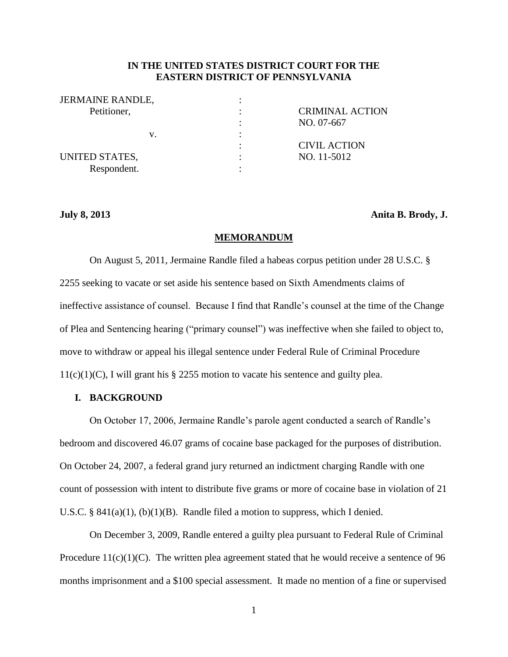# **IN THE UNITED STATES DISTRICT COURT FOR THE EASTERN DISTRICT OF PENNSYLVANIA**

| <b>JERMAINE RANDLE,</b> |   |                        |
|-------------------------|---|------------------------|
| Petitioner,             |   | <b>CRIMINAL ACTION</b> |
|                         | ٠ | NO. 07-667             |
| V.                      |   |                        |
|                         |   | <b>CIVIL ACTION</b>    |
| UNITED STATES,          |   | NO. 11-5012            |
| Respondent.             |   |                        |

**July 8, 2013 Anita B. Brody, J.**

## **MEMORANDUM**

On August 5, 2011, Jermaine Randle filed a habeas corpus petition under 28 U.S.C. § 2255 seeking to vacate or set aside his sentence based on Sixth Amendments claims of ineffective assistance of counsel. Because I find that Randle's counsel at the time of the Change of Plea and Sentencing hearing ("primary counsel") was ineffective when she failed to object to, move to withdraw or appeal his illegal sentence under Federal Rule of Criminal Procedure  $11(c)(1)(C)$ , I will grant his § 2255 motion to vacate his sentence and guilty plea.

# **I. BACKGROUND**

On October 17, 2006, Jermaine Randle's parole agent conducted a search of Randle's bedroom and discovered 46.07 grams of cocaine base packaged for the purposes of distribution. On October 24, 2007, a federal grand jury returned an indictment charging Randle with one count of possession with intent to distribute five grams or more of cocaine base in violation of 21 U.S.C. §  $841(a)(1)$ , (b)(1)(B). Randle filed a motion to suppress, which I denied.

On December 3, 2009, Randle entered a guilty plea pursuant to Federal Rule of Criminal Procedure  $11(c)(1)(C)$ . The written plea agreement stated that he would receive a sentence of 96 months imprisonment and a \$100 special assessment. It made no mention of a fine or supervised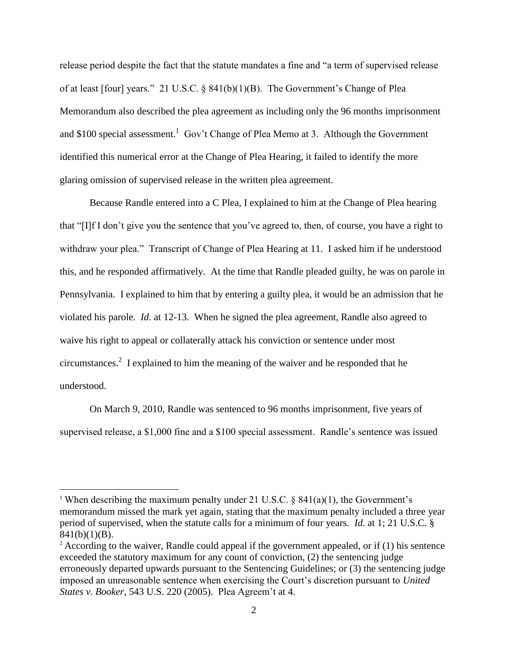release period despite the fact that the statute mandates a fine and "a term of supervised release of at least [four] years." 21 U.S.C. § 841(b)(1)(B). The Government's Change of Plea Memorandum also described the plea agreement as including only the 96 months imprisonment and \$100 special assessment.<sup>1</sup> Gov't Change of Plea Memo at 3. Although the Government identified this numerical error at the Change of Plea Hearing, it failed to identify the more glaring omission of supervised release in the written plea agreement.

Because Randle entered into a C Plea, I explained to him at the Change of Plea hearing that "[I]f I don't give you the sentence that you've agreed to, then, of course, you have a right to withdraw your plea." Transcript of Change of Plea Hearing at 11. I asked him if he understood this, and he responded affirmatively. At the time that Randle pleaded guilty, he was on parole in Pennsylvania. I explained to him that by entering a guilty plea, it would be an admission that he violated his parole. *Id.* at 12-13. When he signed the plea agreement, Randle also agreed to waive his right to appeal or collaterally attack his conviction or sentence under most circumstances. $2 \text{ I explained to him the meaning of the wavier and he responded that he}$ understood.

On March 9, 2010, Randle was sentenced to 96 months imprisonment, five years of supervised release, a \$1,000 fine and a \$100 special assessment. Randle's sentence was issued

<sup>&</sup>lt;sup>1</sup> When describing the maximum penalty under 21 U.S.C. § 841(a)(1), the Government's memorandum missed the mark yet again, stating that the maximum penalty included a three year period of supervised, when the statute calls for a minimum of four years. *Id.* at 1; 21 U.S.C. §  $841(b)(1)(B)$ .

 $2$  According to the waiver, Randle could appeal if the government appealed, or if (1) his sentence exceeded the statutory maximum for any count of conviction, (2) the sentencing judge erroneously departed upwards pursuant to the Sentencing Guidelines; or (3) the sentencing judge imposed an unreasonable sentence when exercising the Court's discretion pursuant to *United States v. Booker*, 543 U.S. 220 (2005). Plea Agreem't at 4.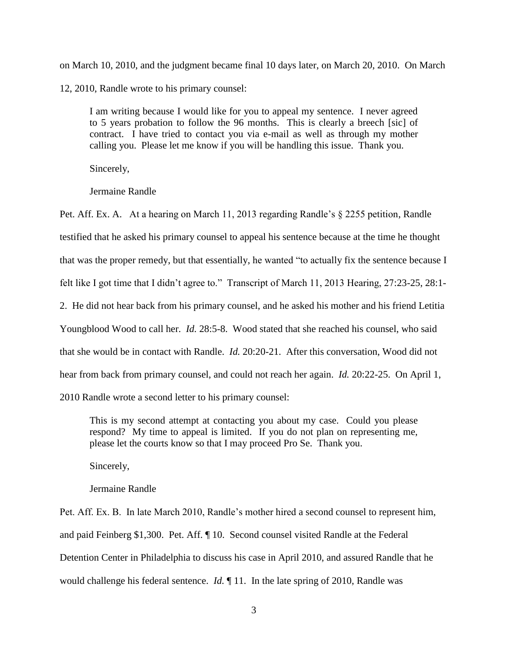on March 10, 2010, and the judgment became final 10 days later, on March 20, 2010. On March 12, 2010, Randle wrote to his primary counsel:

I am writing because I would like for you to appeal my sentence. I never agreed to 5 years probation to follow the 96 months. This is clearly a breech [sic] of contract. I have tried to contact you via e-mail as well as through my mother calling you. Please let me know if you will be handling this issue. Thank you.

Sincerely,

Jermaine Randle

Pet. Aff. Ex. A. At a hearing on March 11, 2013 regarding Randle's § 2255 petition, Randle testified that he asked his primary counsel to appeal his sentence because at the time he thought that was the proper remedy, but that essentially, he wanted "to actually fix the sentence because I felt like I got time that I didn't agree to." Transcript of March 11, 2013 Hearing, 27:23-25, 28:1- 2. He did not hear back from his primary counsel, and he asked his mother and his friend Letitia Youngblood Wood to call her. *Id.* 28:5-8. Wood stated that she reached his counsel, who said that she would be in contact with Randle. *Id.* 20:20-21. After this conversation, Wood did not hear from back from primary counsel, and could not reach her again. *Id.* 20:22-25. On April 1, 2010 Randle wrote a second letter to his primary counsel:

This is my second attempt at contacting you about my case. Could you please respond? My time to appeal is limited. If you do not plan on representing me, please let the courts know so that I may proceed Pro Se. Thank you.

Sincerely,

Jermaine Randle

Pet. Aff. Ex. B. In late March 2010, Randle's mother hired a second counsel to represent him, and paid Feinberg \$1,300. Pet. Aff. ¶ 10. Second counsel visited Randle at the Federal Detention Center in Philadelphia to discuss his case in April 2010, and assured Randle that he would challenge his federal sentence. *Id.* ¶ 11. In the late spring of 2010, Randle was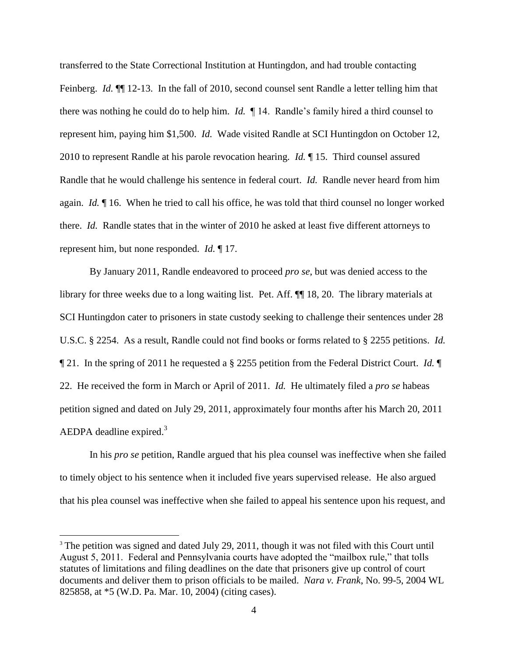transferred to the State Correctional Institution at Huntingdon, and had trouble contacting Feinberg. *Id.*  $\P$  12-13. In the fall of 2010, second counsel sent Randle a letter telling him that there was nothing he could do to help him. *Id.* ¶ 14. Randle's family hired a third counsel to represent him, paying him \$1,500. *Id.* Wade visited Randle at SCI Huntingdon on October 12, 2010 to represent Randle at his parole revocation hearing. *Id.* ¶ 15. Third counsel assured Randle that he would challenge his sentence in federal court. *Id.* Randle never heard from him again. *Id.* ¶ 16. When he tried to call his office, he was told that third counsel no longer worked there. *Id.* Randle states that in the winter of 2010 he asked at least five different attorneys to represent him, but none responded. *Id.* ¶ 17.

By January 2011, Randle endeavored to proceed *pro se*, but was denied access to the library for three weeks due to a long waiting list. Pet. Aff. ¶¶ 18, 20. The library materials at SCI Huntingdon cater to prisoners in state custody seeking to challenge their sentences under 28 U.S.C. § 2254. As a result, Randle could not find books or forms related to § 2255 petitions. *Id.* ¶ 21. In the spring of 2011 he requested a § 2255 petition from the Federal District Court. *Id.* ¶ 22. He received the form in March or April of 2011. *Id.* He ultimately filed a *pro se* habeas petition signed and dated on July 29, 2011, approximately four months after his March 20, 2011 AEDPA deadline expired. $3$ 

In his *pro se* petition, Randle argued that his plea counsel was ineffective when she failed to timely object to his sentence when it included five years supervised release. He also argued that his plea counsel was ineffective when she failed to appeal his sentence upon his request, and

<sup>&</sup>lt;sup>3</sup> The petition was signed and dated July 29, 2011, though it was not filed with this Court until August 5, 2011. Federal and Pennsylvania courts have adopted the "mailbox rule," that tolls statutes of limitations and filing deadlines on the date that prisoners give up control of court documents and deliver them to prison officials to be mailed. *Nara v. Frank*, No. 99-5, 2004 WL 825858, at \*5 (W.D. Pa. Mar. 10, 2004) (citing cases).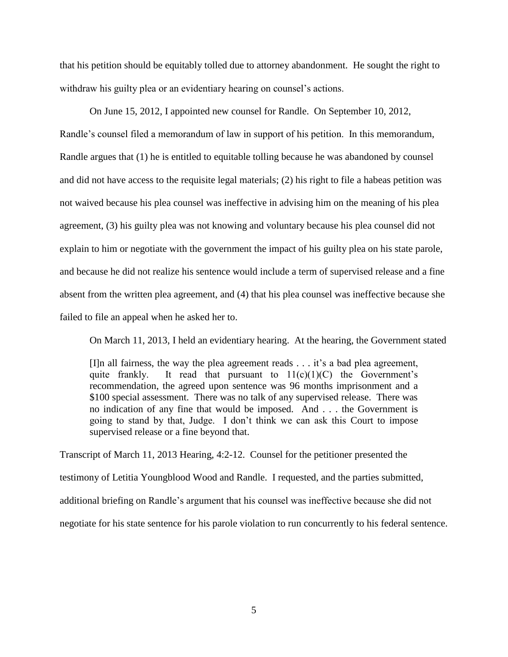that his petition should be equitably tolled due to attorney abandonment. He sought the right to withdraw his guilty plea or an evidentiary hearing on counsel's actions.

On June 15, 2012, I appointed new counsel for Randle. On September 10, 2012, Randle's counsel filed a memorandum of law in support of his petition. In this memorandum, Randle argues that (1) he is entitled to equitable tolling because he was abandoned by counsel and did not have access to the requisite legal materials; (2) his right to file a habeas petition was not waived because his plea counsel was ineffective in advising him on the meaning of his plea agreement, (3) his guilty plea was not knowing and voluntary because his plea counsel did not explain to him or negotiate with the government the impact of his guilty plea on his state parole, and because he did not realize his sentence would include a term of supervised release and a fine absent from the written plea agreement, and (4) that his plea counsel was ineffective because she failed to file an appeal when he asked her to.

On March 11, 2013, I held an evidentiary hearing. At the hearing, the Government stated

[I]n all fairness, the way the plea agreement reads . . . it's a bad plea agreement, quite frankly. It read that pursuant to  $11(c)(1)(C)$  the Government's recommendation, the agreed upon sentence was 96 months imprisonment and a \$100 special assessment. There was no talk of any supervised release. There was no indication of any fine that would be imposed. And . . . the Government is going to stand by that, Judge. I don't think we can ask this Court to impose supervised release or a fine beyond that.

Transcript of March 11, 2013 Hearing, 4:2-12. Counsel for the petitioner presented the testimony of Letitia Youngblood Wood and Randle. I requested, and the parties submitted, additional briefing on Randle's argument that his counsel was ineffective because she did not negotiate for his state sentence for his parole violation to run concurrently to his federal sentence.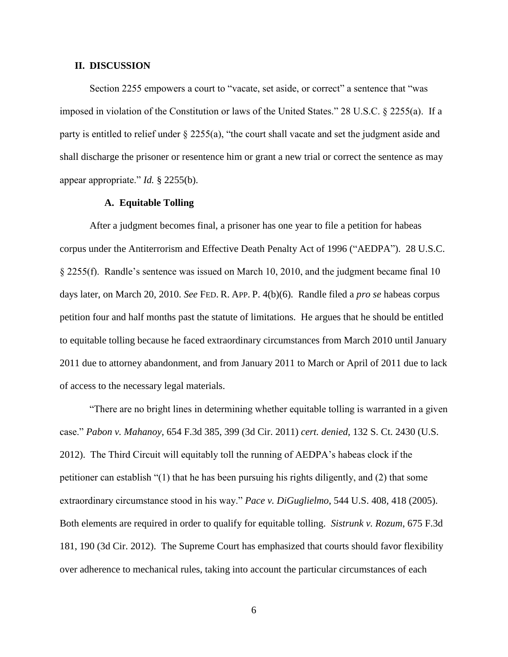## **II. DISCUSSION**

Section 2255 empowers a court to "vacate, set aside, or correct" a sentence that "was imposed in violation of the Constitution or laws of the United States." 28 U.S.C. § 2255(a). If a party is entitled to relief under § 2255(a), "the court shall vacate and set the judgment aside and shall discharge the prisoner or resentence him or grant a new trial or correct the sentence as may appear appropriate." *Id.* § 2255(b).

## **A. Equitable Tolling**

After a judgment becomes final, a prisoner has one year to file a petition for habeas corpus under the Antiterrorism and Effective Death Penalty Act of 1996 ("AEDPA"). 28 U.S.C. § 2255(f). Randle's sentence was issued on March 10, 2010, and the judgment became final 10 days later, on March 20, 2010. *See* FED. R. APP. P. 4(b)(6). Randle filed a *pro se* habeas corpus petition four and half months past the statute of limitations. He argues that he should be entitled to equitable tolling because he faced extraordinary circumstances from March 2010 until January 2011 due to attorney abandonment, and from January 2011 to March or April of 2011 due to lack of access to the necessary legal materials.

"There are no bright lines in determining whether equitable tolling is warranted in a given case." *Pabon v. Mahanoy,* 654 F.3d 385, 399 (3d Cir. 2011) *cert. denied,* 132 S. Ct. 2430 (U.S. 2012). The Third Circuit will equitably toll the running of AEDPA's habeas clock if the petitioner can establish "(1) that he has been pursuing his rights diligently, and (2) that some extraordinary circumstance stood in his way." *Pace v. DiGuglielmo*, 544 U.S. 408, 418 (2005). Both elements are required in order to qualify for equitable tolling. *Sistrunk v. Rozum*, 675 F.3d 181, 190 (3d Cir. 2012). The Supreme Court has emphasized that courts should favor flexibility over adherence to mechanical rules, taking into account the particular circumstances of each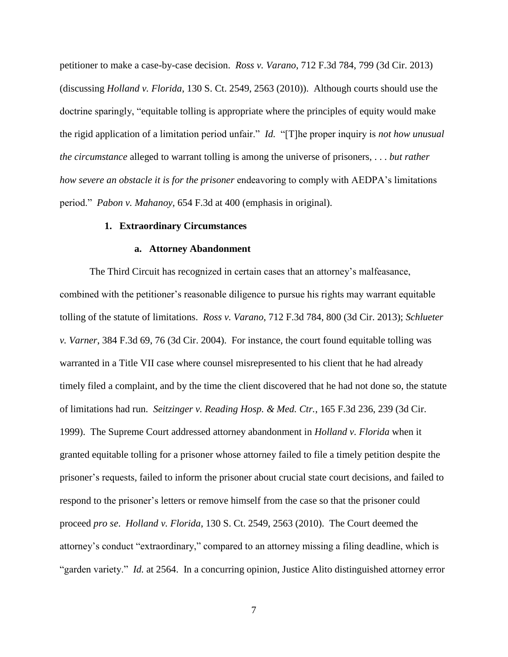petitioner to make a case-by-case decision. *Ross v. Varano*, 712 F.3d 784, 799 (3d Cir. 2013) (discussing *Holland v. Florida*, 130 S. Ct. 2549, 2563 (2010)). Although courts should use the doctrine sparingly, "equitable tolling is appropriate where the principles of equity would make the rigid application of a limitation period unfair." *Id.* "[T]he proper inquiry is *not how unusual the circumstance* alleged to warrant tolling is among the universe of prisoners, . . . *but rather how severe an obstacle it is for the prisoner* endeavoring to comply with AEDPA's limitations period." *Pabon v. Mahanoy,* 654 F.3d at 400 (emphasis in original).

### **1. Extraordinary Circumstances**

## **a. Attorney Abandonment**

The Third Circuit has recognized in certain cases that an attorney's malfeasance, combined with the petitioner's reasonable diligence to pursue his rights may warrant equitable tolling of the statute of limitations. *Ross v. Varano*, 712 F.3d 784, 800 (3d Cir. 2013); *Schlueter v. Varner*, 384 F.3d 69, 76 (3d Cir. 2004). For instance, the court found equitable tolling was warranted in a Title VII case where counsel misrepresented to his client that he had already timely filed a complaint, and by the time the client discovered that he had not done so, the statute of limitations had run. *Seitzinger v. Reading Hosp. & Med. Ctr.*, 165 F.3d 236, 239 (3d Cir. 1999). The Supreme Court addressed attorney abandonment in *Holland v. Florida* when it granted equitable tolling for a prisoner whose attorney failed to file a timely petition despite the prisoner's requests, failed to inform the prisoner about crucial state court decisions, and failed to respond to the prisoner's letters or remove himself from the case so that the prisoner could proceed *pro se*. *Holland v. Florida*, 130 S. Ct. 2549, 2563 (2010). The Court deemed the attorney's conduct "extraordinary," compared to an attorney missing a filing deadline, which is "garden variety." *Id.* at 2564. In a concurring opinion, Justice Alito distinguished attorney error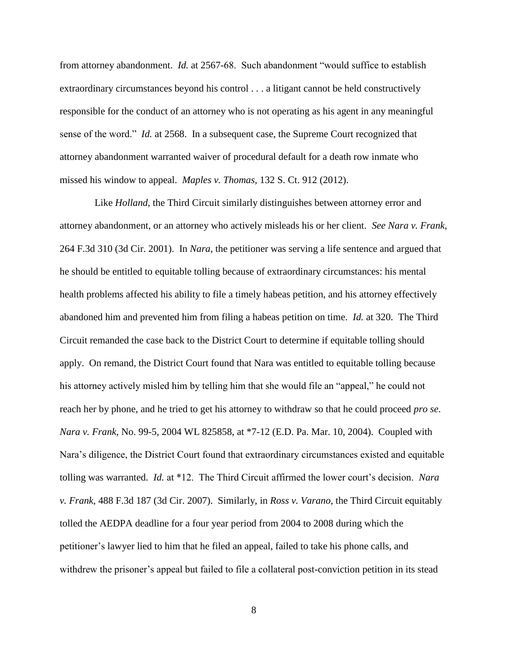from attorney abandonment. *Id.* at 2567-68. Such abandonment "would suffice to establish extraordinary circumstances beyond his control . . . a litigant cannot be held constructively responsible for the conduct of an attorney who is not operating as his agent in any meaningful sense of the word." *Id.* at 2568. In a subsequent case, the Supreme Court recognized that attorney abandonment warranted waiver of procedural default for a death row inmate who missed his window to appeal. *Maples v. Thomas*, 132 S. Ct. 912 (2012).

 Like *Holland,* the Third Circuit similarly distinguishes between attorney error and attorney abandonment, or an attorney who actively misleads his or her client. *See Nara v. Frank*, 264 F.3d 310 (3d Cir. 2001). In *Nara*, the petitioner was serving a life sentence and argued that he should be entitled to equitable tolling because of extraordinary circumstances: his mental health problems affected his ability to file a timely habeas petition, and his attorney effectively abandoned him and prevented him from filing a habeas petition on time. *Id.* at 320. The Third Circuit remanded the case back to the District Court to determine if equitable tolling should apply. On remand, the District Court found that Nara was entitled to equitable tolling because his attorney actively misled him by telling him that she would file an "appeal," he could not reach her by phone, and he tried to get his attorney to withdraw so that he could proceed *pro se*. *Nara v. Frank*, No. 99-5, 2004 WL 825858, at \*7-12 (E.D. Pa. Mar. 10, 2004). Coupled with Nara's diligence, the District Court found that extraordinary circumstances existed and equitable tolling was warranted. *Id.* at \*12. The Third Circuit affirmed the lower court's decision. *Nara v. Frank*, 488 F.3d 187 (3d Cir. 2007). Similarly, in *Ross v. Varano*, the Third Circuit equitably tolled the AEDPA deadline for a four year period from 2004 to 2008 during which the petitioner's lawyer lied to him that he filed an appeal, failed to take his phone calls, and withdrew the prisoner's appeal but failed to file a collateral post-conviction petition in its stead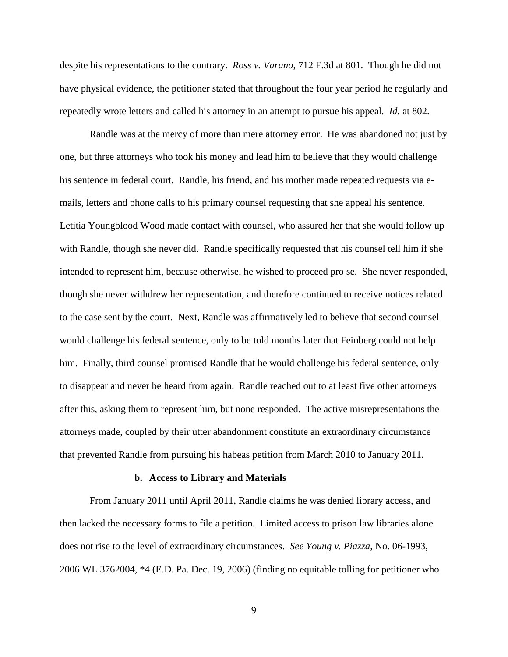despite his representations to the contrary. *Ross v. Varano*, 712 F.3d at 801. Though he did not have physical evidence, the petitioner stated that throughout the four year period he regularly and repeatedly wrote letters and called his attorney in an attempt to pursue his appeal. *Id.* at 802.

Randle was at the mercy of more than mere attorney error. He was abandoned not just by one, but three attorneys who took his money and lead him to believe that they would challenge his sentence in federal court. Randle, his friend, and his mother made repeated requests via emails, letters and phone calls to his primary counsel requesting that she appeal his sentence. Letitia Youngblood Wood made contact with counsel, who assured her that she would follow up with Randle, though she never did. Randle specifically requested that his counsel tell him if she intended to represent him, because otherwise, he wished to proceed pro se. She never responded, though she never withdrew her representation, and therefore continued to receive notices related to the case sent by the court. Next, Randle was affirmatively led to believe that second counsel would challenge his federal sentence, only to be told months later that Feinberg could not help him. Finally, third counsel promised Randle that he would challenge his federal sentence, only to disappear and never be heard from again. Randle reached out to at least five other attorneys after this, asking them to represent him, but none responded. The active misrepresentations the attorneys made, coupled by their utter abandonment constitute an extraordinary circumstance that prevented Randle from pursuing his habeas petition from March 2010 to January 2011.

#### **b. Access to Library and Materials**

From January 2011 until April 2011, Randle claims he was denied library access, and then lacked the necessary forms to file a petition. Limited access to prison law libraries alone does not rise to the level of extraordinary circumstances. *See Young v. Piazza*, No. 06-1993, 2006 WL 3762004, \*4 (E.D. Pa. Dec. 19, 2006) (finding no equitable tolling for petitioner who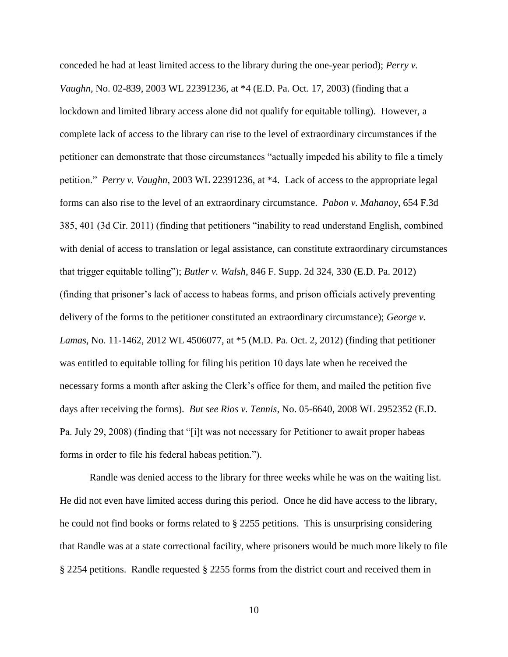conceded he had at least limited access to the library during the one-year period); *Perry v. Vaughn,* No. 02-839, 2003 WL 22391236, at \*4 (E.D. Pa. Oct. 17, 2003) (finding that a lockdown and limited library access alone did not qualify for equitable tolling). However, a complete lack of access to the library can rise to the level of extraordinary circumstances if the petitioner can demonstrate that those circumstances "actually impeded his ability to file a timely petition." *Perry v. Vaughn*, 2003 WL 22391236, at \*4. Lack of access to the appropriate legal forms can also rise to the level of an extraordinary circumstance. *Pabon v. Mahanoy*, 654 F.3d 385, 401 (3d Cir. 2011) (finding that petitioners "inability to read understand English, combined with denial of access to translation or legal assistance, can constitute extraordinary circumstances that trigger equitable tolling"); *Butler v. Walsh*, 846 F. Supp. 2d 324, 330 (E.D. Pa. 2012) (finding that prisoner's lack of access to habeas forms, and prison officials actively preventing delivery of the forms to the petitioner constituted an extraordinary circumstance); *George v. Lamas*, No. 11-1462, 2012 WL 4506077, at \*5 (M.D. Pa. Oct. 2, 2012) (finding that petitioner was entitled to equitable tolling for filing his petition 10 days late when he received the necessary forms a month after asking the Clerk's office for them, and mailed the petition five days after receiving the forms). *But see Rios v. Tennis*, No. 05-6640, 2008 WL 2952352 (E.D. Pa. July 29, 2008) (finding that "[i]t was not necessary for Petitioner to await proper habeas forms in order to file his federal habeas petition.").

Randle was denied access to the library for three weeks while he was on the waiting list. He did not even have limited access during this period. Once he did have access to the library, he could not find books or forms related to § 2255 petitions. This is unsurprising considering that Randle was at a state correctional facility, where prisoners would be much more likely to file § 2254 petitions. Randle requested § 2255 forms from the district court and received them in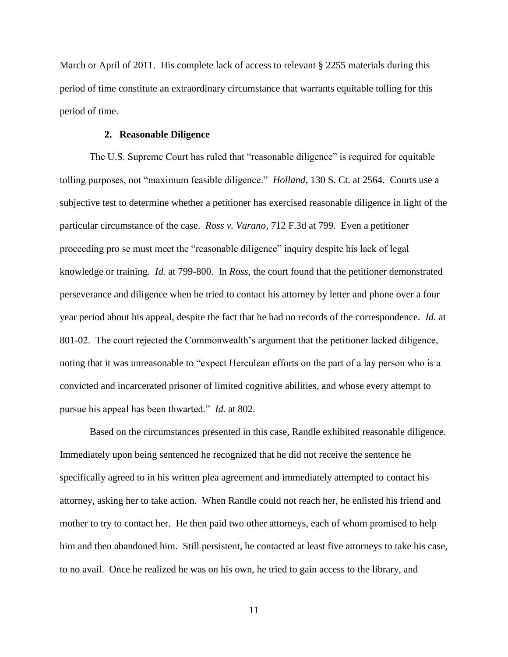March or April of 2011. His complete lack of access to relevant § 2255 materials during this period of time constitute an extraordinary circumstance that warrants equitable tolling for this period of time.

## **2. Reasonable Diligence**

The U.S. Supreme Court has ruled that "reasonable diligence" is required for equitable tolling purposes, not "maximum feasible diligence." *Holland,* 130 S. Ct. at 2564. Courts use a subjective test to determine whether a petitioner has exercised reasonable diligence in light of the particular circumstance of the case. *Ross v. Varano,* 712 F.3d at 799. Even a petitioner proceeding pro se must meet the "reasonable diligence" inquiry despite his lack of legal knowledge or training. *Id.* at 799-800. In *Ross*, the court found that the petitioner demonstrated perseverance and diligence when he tried to contact his attorney by letter and phone over a four year period about his appeal, despite the fact that he had no records of the correspondence. *Id.* at 801-02. The court rejected the Commonwealth's argument that the petitioner lacked diligence, noting that it was unreasonable to "expect Herculean efforts on the part of a lay person who is a convicted and incarcerated prisoner of limited cognitive abilities, and whose every attempt to pursue his appeal has been thwarted." *Id.* at 802.

Based on the circumstances presented in this case, Randle exhibited reasonable diligence. Immediately upon being sentenced he recognized that he did not receive the sentence he specifically agreed to in his written plea agreement and immediately attempted to contact his attorney, asking her to take action. When Randle could not reach her, he enlisted his friend and mother to try to contact her. He then paid two other attorneys, each of whom promised to help him and then abandoned him. Still persistent, he contacted at least five attorneys to take his case, to no avail. Once he realized he was on his own, he tried to gain access to the library, and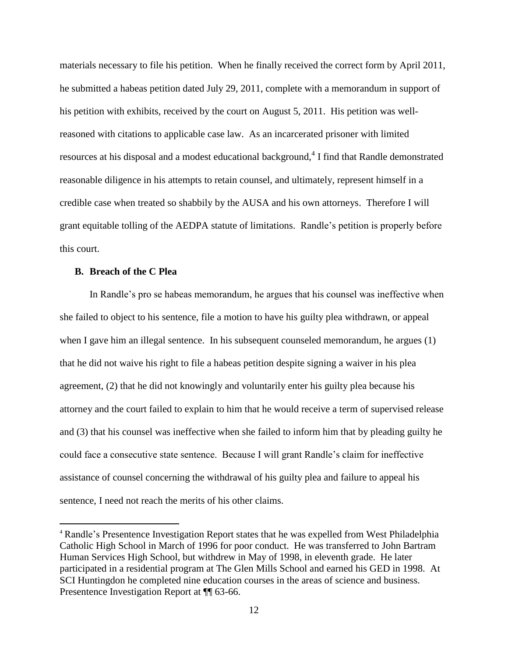materials necessary to file his petition. When he finally received the correct form by April 2011, he submitted a habeas petition dated July 29, 2011, complete with a memorandum in support of his petition with exhibits, received by the court on August 5, 2011. His petition was wellreasoned with citations to applicable case law. As an incarcerated prisoner with limited resources at his disposal and a modest educational background,<sup>4</sup> I find that Randle demonstrated reasonable diligence in his attempts to retain counsel, and ultimately, represent himself in a credible case when treated so shabbily by the AUSA and his own attorneys. Therefore I will grant equitable tolling of the AEDPA statute of limitations. Randle's petition is properly before this court.

## **B. Breach of the C Plea**

 $\overline{a}$ 

In Randle's pro se habeas memorandum, he argues that his counsel was ineffective when she failed to object to his sentence, file a motion to have his guilty plea withdrawn, or appeal when I gave him an illegal sentence. In his subsequent counseled memorandum, he argues (1) that he did not waive his right to file a habeas petition despite signing a waiver in his plea agreement, (2) that he did not knowingly and voluntarily enter his guilty plea because his attorney and the court failed to explain to him that he would receive a term of supervised release and (3) that his counsel was ineffective when she failed to inform him that by pleading guilty he could face a consecutive state sentence. Because I will grant Randle's claim for ineffective assistance of counsel concerning the withdrawal of his guilty plea and failure to appeal his sentence, I need not reach the merits of his other claims.

<sup>4</sup> Randle's Presentence Investigation Report states that he was expelled from West Philadelphia Catholic High School in March of 1996 for poor conduct. He was transferred to John Bartram Human Services High School, but withdrew in May of 1998, in eleventh grade. He later participated in a residential program at The Glen Mills School and earned his GED in 1998. At SCI Huntingdon he completed nine education courses in the areas of science and business. Presentence Investigation Report at  $\P$  63-66.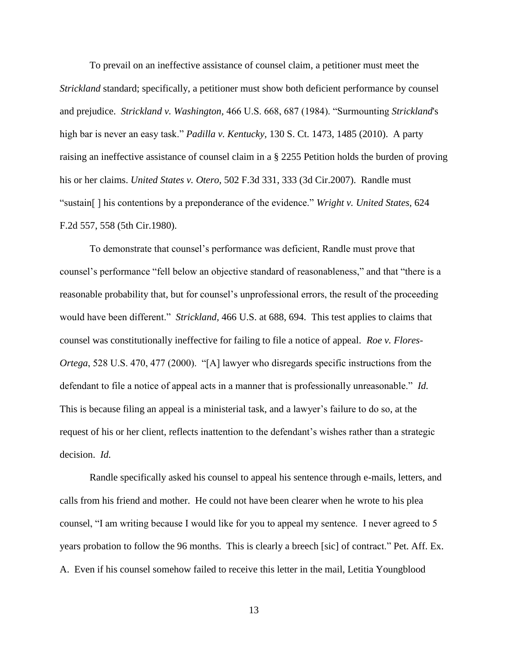To prevail on an ineffective assistance of counsel claim, a petitioner must meet the *Strickland* standard; specifically, a petitioner must show both deficient performance by counsel and prejudice. *Strickland v. Washington,* 466 U.S. 668, 687 (1984). "Surmounting *Strickland*'s high bar is never an easy task." *Padilla v. Kentucky,* 130 S. Ct. 1473, 1485 (2010). A party raising an ineffective assistance of counsel claim in a § 2255 Petition holds the burden of proving his or her claims. *United States v. Otero,* 502 F.3d 331, 333 (3d Cir.2007). Randle must "sustain[ ] his contentions by a preponderance of the evidence." *Wright v. United States,* 624 F.2d 557, 558 (5th Cir.1980).

To demonstrate that counsel's performance was deficient, Randle must prove that counsel's performance "fell below an objective standard of reasonableness," and that "there is a reasonable probability that, but for counsel's unprofessional errors, the result of the proceeding would have been different." *Strickland,* 466 U.S. at 688, 694. This test applies to claims that counsel was constitutionally ineffective for failing to file a notice of appeal. *Roe v. Flores-Ortega*, 528 U.S. 470, 477 (2000). "[A] lawyer who disregards specific instructions from the defendant to file a notice of appeal acts in a manner that is professionally unreasonable." *Id.* This is because filing an appeal is a ministerial task, and a lawyer's failure to do so, at the request of his or her client, reflects inattention to the defendant's wishes rather than a strategic decision. *Id.*

Randle specifically asked his counsel to appeal his sentence through e-mails, letters, and calls from his friend and mother. He could not have been clearer when he wrote to his plea counsel, "I am writing because I would like for you to appeal my sentence. I never agreed to 5 years probation to follow the 96 months. This is clearly a breech [sic] of contract." Pet. Aff. Ex. A. Even if his counsel somehow failed to receive this letter in the mail, Letitia Youngblood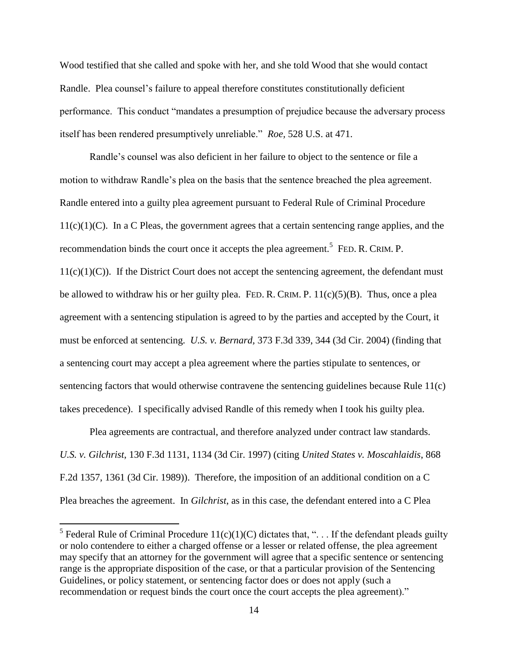Wood testified that she called and spoke with her, and she told Wood that she would contact Randle. Plea counsel's failure to appeal therefore constitutes constitutionally deficient performance. This conduct "mandates a presumption of prejudice because the adversary process itself has been rendered presumptively unreliable." *Roe,* 528 U.S. at 471.

Randle's counsel was also deficient in her failure to object to the sentence or file a motion to withdraw Randle's plea on the basis that the sentence breached the plea agreement. Randle entered into a guilty plea agreement pursuant to Federal Rule of Criminal Procedure  $11(c)(1)(C)$ . In a C Pleas, the government agrees that a certain sentencing range applies, and the recommendation binds the court once it accepts the plea agreement.<sup>5</sup> FED. R. CRIM. P.  $11(c)(1)(C)$ ). If the District Court does not accept the sentencing agreement, the defendant must be allowed to withdraw his or her guilty plea. FED. R. CRIM. P.  $11(c)(5)(B)$ . Thus, once a plea agreement with a sentencing stipulation is agreed to by the parties and accepted by the Court, it must be enforced at sentencing. *U.S. v. Bernard,* 373 F.3d 339, 344 (3d Cir. 2004) (finding that a sentencing court may accept a plea agreement where the parties stipulate to sentences, or sentencing factors that would otherwise contravene the sentencing guidelines because Rule 11(c) takes precedence). I specifically advised Randle of this remedy when I took his guilty plea.

Plea agreements are contractual, and therefore analyzed under contract law standards. *U.S. v. Gilchrist*, 130 F.3d 1131, 1134 (3d Cir. 1997) (citing *United States v. Moscahlaidis*, 868 F.2d 1357, 1361 (3d Cir. 1989)). Therefore, the imposition of an additional condition on a C Plea breaches the agreement. In *Gilchrist*, as in this case, the defendant entered into a C Plea

<sup>&</sup>lt;sup>5</sup> Federal Rule of Criminal Procedure  $11(c)(1)(C)$  dictates that, "... If the defendant pleads guilty or nolo contendere to either a charged offense or a lesser or related offense, the plea agreement may specify that an attorney for the government will agree that a specific sentence or sentencing range is the appropriate disposition of the case, or that a particular provision of the Sentencing Guidelines, or policy statement, or sentencing factor does or does not apply (such a recommendation or request binds the court once the court accepts the plea agreement)."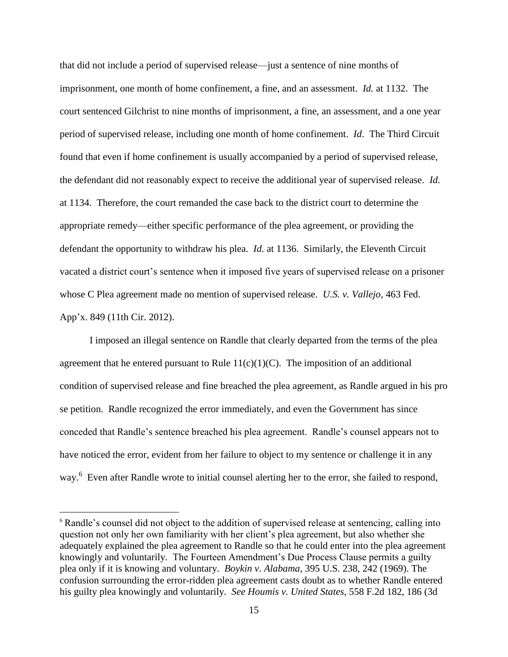that did not include a period of supervised release—just a sentence of nine months of imprisonment, one month of home confinement, a fine, and an assessment. *Id.* at 1132. The court sentenced Gilchrist to nine months of imprisonment, a fine, an assessment, and a one year period of supervised release, including one month of home confinement. *Id*. The Third Circuit found that even if home confinement is usually accompanied by a period of supervised release, the defendant did not reasonably expect to receive the additional year of supervised release. *Id.* at 1134. Therefore, the court remanded the case back to the district court to determine the appropriate remedy—either specific performance of the plea agreement, or providing the defendant the opportunity to withdraw his plea. *Id.* at 1136. Similarly, the Eleventh Circuit vacated a district court's sentence when it imposed five years of supervised release on a prisoner whose C Plea agreement made no mention of supervised release. *U.S. v. Vallejo*, 463 Fed. App'x. 849 (11th Cir. 2012).

I imposed an illegal sentence on Randle that clearly departed from the terms of the plea agreement that he entered pursuant to Rule  $11(c)(1)(C)$ . The imposition of an additional condition of supervised release and fine breached the plea agreement, as Randle argued in his pro se petition. Randle recognized the error immediately, and even the Government has since conceded that Randle's sentence breached his plea agreement. Randle's counsel appears not to have noticed the error, evident from her failure to object to my sentence or challenge it in any way.<sup>6</sup> Even after Randle wrote to initial counsel alerting her to the error, she failed to respond,

<sup>6</sup> Randle's counsel did not object to the addition of supervised release at sentencing, calling into question not only her own familiarity with her client's plea agreement, but also whether she adequately explained the plea agreement to Randle so that he could enter into the plea agreement knowingly and voluntarily. The Fourteen Amendment's Due Process Clause permits a guilty plea only if it is knowing and voluntary. *Boykin v. Alabama*, 395 U.S. 238, 242 (1969). The confusion surrounding the error-ridden plea agreement casts doubt as to whether Randle entered his guilty plea knowingly and voluntarily. *See Houmis v. United States*, 558 F.2d 182, 186 (3d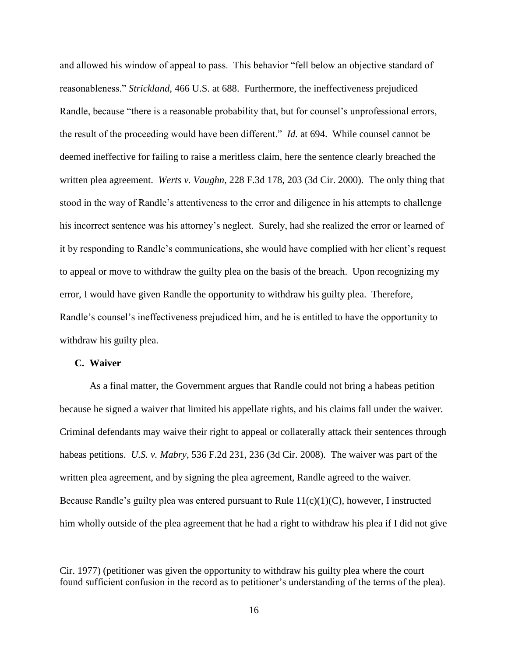and allowed his window of appeal to pass. This behavior "fell below an objective standard of reasonableness." *Strickland,* 466 U.S. at 688. Furthermore, the ineffectiveness prejudiced Randle, because "there is a reasonable probability that, but for counsel's unprofessional errors, the result of the proceeding would have been different." *Id.* at 694. While counsel cannot be deemed ineffective for failing to raise a meritless claim, here the sentence clearly breached the written plea agreement. *Werts v. Vaughn*, 228 F.3d 178, 203 (3d Cir. 2000). The only thing that stood in the way of Randle's attentiveness to the error and diligence in his attempts to challenge his incorrect sentence was his attorney's neglect. Surely, had she realized the error or learned of it by responding to Randle's communications, she would have complied with her client's request to appeal or move to withdraw the guilty plea on the basis of the breach. Upon recognizing my error, I would have given Randle the opportunity to withdraw his guilty plea. Therefore, Randle's counsel's ineffectiveness prejudiced him, and he is entitled to have the opportunity to withdraw his guilty plea.

## **C. Waiver**

 $\overline{a}$ 

As a final matter, the Government argues that Randle could not bring a habeas petition because he signed a waiver that limited his appellate rights, and his claims fall under the waiver. Criminal defendants may waive their right to appeal or collaterally attack their sentences through habeas petitions. *U.S. v. Mabry*, 536 F.2d 231, 236 (3d Cir. 2008). The waiver was part of the written plea agreement, and by signing the plea agreement, Randle agreed to the waiver. Because Randle's guilty plea was entered pursuant to Rule 11(c)(1)(C), however, I instructed him wholly outside of the plea agreement that he had a right to withdraw his plea if I did not give

Cir. 1977) (petitioner was given the opportunity to withdraw his guilty plea where the court found sufficient confusion in the record as to petitioner's understanding of the terms of the plea).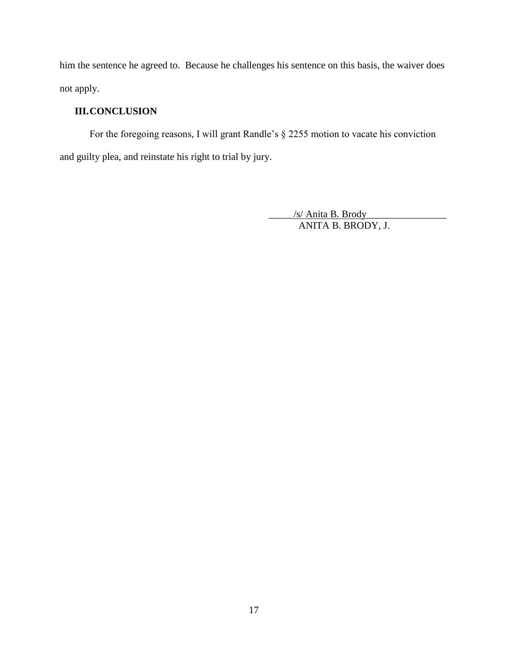him the sentence he agreed to. Because he challenges his sentence on this basis, the waiver does not apply.

# **III.CONCLUSION**

For the foregoing reasons, I will grant Randle's § 2255 motion to vacate his conviction and guilty plea, and reinstate his right to trial by jury.

> \_\_\_\_\_/s/ Anita B. Brody\_\_\_\_\_\_\_\_\_\_\_\_\_\_\_\_ ANITA B. BRODY, J.